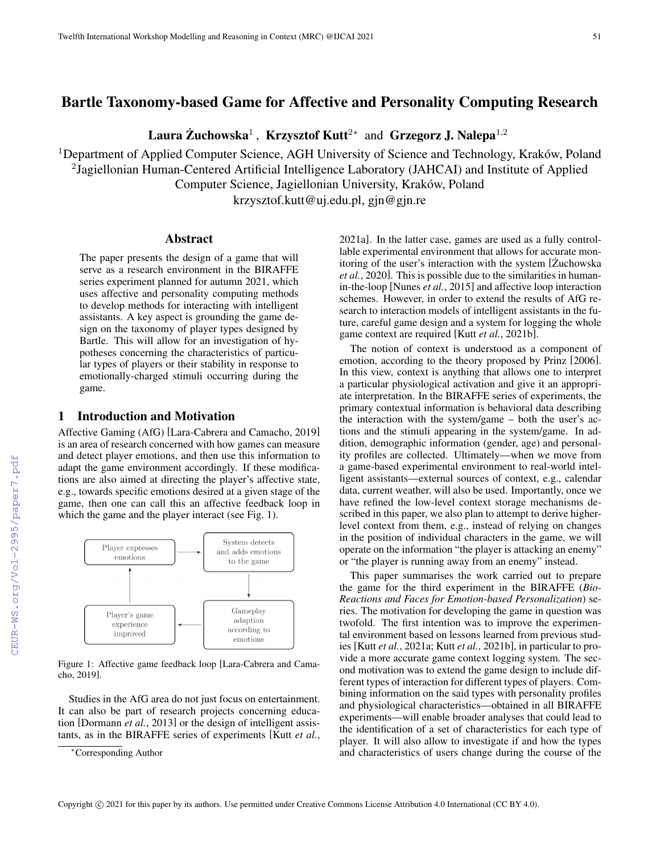# Bartle Taxonomy-based Game for Affective and Personality Computing Research

Laura Żuchowska<sup>1</sup>, Krzysztof Kutt<sup>2</sup>\* and Grzegorz J. Nalepa<sup>1,2</sup>

<sup>1</sup>Department of Applied Computer Science, AGH University of Science and Technology, Kraków, Poland <sup>2</sup>Jagiellonian Human-Centered Artificial Intelligence Laboratory (JAHCAI) and Institute of Applied Computer Science, Jagiellonian University, Kraków, Poland

krzysztof.kutt@uj.edu.pl, gjn@gjn.re

### Abstract

The paper presents the design of a game that will serve as a research environment in the BIRAFFE series experiment planned for autumn 2021, which uses affective and personality computing methods to develop methods for interacting with intelligent assistants. A key aspect is grounding the game design on the taxonomy of player types designed by Bartle. This will allow for an investigation of hypotheses concerning the characteristics of particular types of players or their stability in response to emotionally-charged stimuli occurring during the game.

## 1 Introduction and Motivation

Affective Gaming (AfG) [Lara-Cabrera and Camacho, 2019] is an area of research concerned with how games can measure and detect player emotions, and then use this information to adapt the game environment accordingly. If these modifications are also aimed at directing the player's affective state, e.g., towards specific emotions desired at a given stage of the game, then one can call this an affective feedback loop in which the game and the player interact (see Fig. 1).



Figure 1: Affective game feedback loop [Lara-Cabrera and Camacho, 2019].

Studies in the AfG area do not just focus on entertainment. It can also be part of research projects concerning education [Dormann *et al.*, 2013] or the design of intelligent assistants, as in the BIRAFFE series of experiments [Kutt *et al.*, 2021a]. In the latter case, games are used as a fully controllable experimental environment that allows for accurate monitoring of the user's interaction with the system [Zuchowska] *et al.*, 2020]. This is possible due to the similarities in humanin-the-loop [Nunes *et al.*, 2015] and affective loop interaction schemes. However, in order to extend the results of AfG research to interaction models of intelligent assistants in the future, careful game design and a system for logging the whole game context are required [Kutt *et al.*, 2021b].

The notion of context is understood as a component of emotion, according to the theory proposed by Prinz [2006]. In this view, context is anything that allows one to interpret a particular physiological activation and give it an appropriate interpretation. In the BIRAFFE series of experiments, the primary contextual information is behavioral data describing the interaction with the system/game – both the user's actions and the stimuli appearing in the system/game. In addition, demographic information (gender, age) and personality profiles are collected. Ultimately—when we move from a game-based experimental environment to real-world intelligent assistants—external sources of context, e.g., calendar data, current weather, will also be used. Importantly, once we have refined the low-level context storage mechanisms described in this paper, we also plan to attempt to derive higherlevel context from them, e.g., instead of relying on changes in the position of individual characters in the game, we will operate on the information "the player is attacking an enemy" or "the player is running away from an enemy" instead.

This paper summarises the work carried out to prepare the game for the third experiment in the BIRAFFE (*Bio-Reactions and Faces for Emotion-based Personalization*) series. The motivation for developing the game in question was twofold. The first intention was to improve the experimental environment based on lessons learned from previous studies [Kutt *et al.*, 2021a; Kutt *et al.*, 2021b], in particular to provide a more accurate game context logging system. The second motivation was to extend the game design to include different types of interaction for different types of players. Combining information on the said types with personality profiles and physiological characteristics—obtained in all BIRAFFE experiments—will enable broader analyses that could lead to the identification of a set of characteristics for each type of player. It will also allow to investigate if and how the types and characteristics of users change during the course of the

<sup>∗</sup>Corresponding Author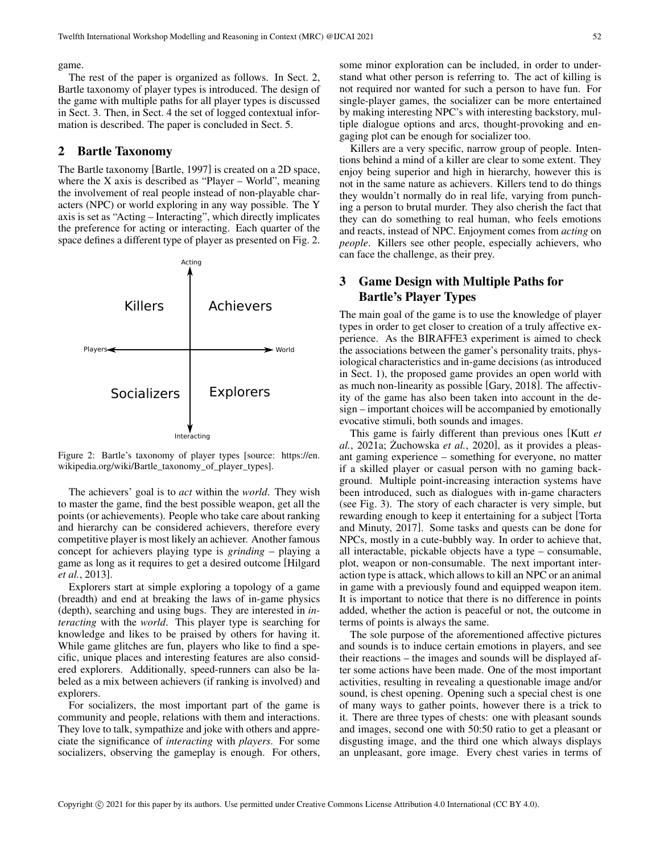#### game.

The rest of the paper is organized as follows. In Sect. 2, Bartle taxonomy of player types is introduced. The design of the game with multiple paths for all player types is discussed in Sect. 3. Then, in Sect. 4 the set of logged contextual information is described. The paper is concluded in Sect. 5.

### 2 Bartle Taxonomy

The Bartle taxonomy [Bartle, 1997] is created on a 2D space, where the X axis is described as "Player – World", meaning the involvement of real people instead of non-playable characters (NPC) or world exploring in any way possible. The Y axis is set as "Acting – Interacting", which directly implicates the preference for acting or interacting. Each quarter of the space defines a different type of player as presented on Fig. 2.



Figure 2: Bartle's taxonomy of player types [source: https://en. wikipedia.org/wiki/Bartle\_taxonomy\_of\_player\_types].

The achievers' goal is to *act* within the *world*. They wish to master the game, find the best possible weapon, get all the points (or achievements). People who take care about ranking and hierarchy can be considered achievers, therefore every competitive player is most likely an achiever. Another famous concept for achievers playing type is *grinding* – playing a game as long as it requires to get a desired outcome [Hilgard *et al.*, 2013].

Explorers start at simple exploring a topology of a game (breadth) and end at breaking the laws of in-game physics (depth), searching and using bugs. They are interested in *interacting* with the *world*. This player type is searching for knowledge and likes to be praised by others for having it. While game glitches are fun, players who like to find a specific, unique places and interesting features are also considered explorers. Additionally, speed-runners can also be labeled as a mix between achievers (if ranking is involved) and explorers.

For socializers, the most important part of the game is community and people, relations with them and interactions. They love to talk, sympathize and joke with others and appreciate the significance of *interacting* with *players*. For some socializers, observing the gameplay is enough. For others, some minor exploration can be included, in order to understand what other person is referring to. The act of killing is not required nor wanted for such a person to have fun. For single-player games, the socializer can be more entertained by making interesting NPC's with interesting backstory, multiple dialogue options and arcs, thought-provoking and engaging plot can be enough for socializer too.

Killers are a very specific, narrow group of people. Intentions behind a mind of a killer are clear to some extent. They enjoy being superior and high in hierarchy, however this is not in the same nature as achievers. Killers tend to do things they wouldn't normally do in real life, varying from punching a person to brutal murder. They also cherish the fact that they can do something to real human, who feels emotions and reacts, instead of NPC. Enjoyment comes from *acting* on *people*. Killers see other people, especially achievers, who can face the challenge, as their prey.

## 3 Game Design with Multiple Paths for Bartle's Player Types

The main goal of the game is to use the knowledge of player types in order to get closer to creation of a truly affective experience. As the BIRAFFE3 experiment is aimed to check the associations between the gamer's personality traits, physiological characteristics and in-game decisions (as introduced in Sect. 1), the proposed game provides an open world with as much non-linearity as possible [Gary, 2018]. The affectivity of the game has also been taken into account in the design – important choices will be accompanied by emotionally evocative stimuli, both sounds and images.

This game is fairly different than previous ones [Kutt *et al.*, 2021a; Zuchowska *et al.*, 2020], as it provides a pleasant gaming experience – something for everyone, no matter if a skilled player or casual person with no gaming background. Multiple point-increasing interaction systems have been introduced, such as dialogues with in-game characters (see Fig. 3). The story of each character is very simple, but rewarding enough to keep it entertaining for a subject [Torta and Minuty, 2017]. Some tasks and quests can be done for NPCs, mostly in a cute-bubbly way. In order to achieve that, all interactable, pickable objects have a type – consumable, plot, weapon or non-consumable. The next important interaction type is attack, which allows to kill an NPC or an animal in game with a previously found and equipped weapon item. It is important to notice that there is no difference in points added, whether the action is peaceful or not, the outcome in terms of points is always the same.

The sole purpose of the aforementioned affective pictures and sounds is to induce certain emotions in players, and see their reactions – the images and sounds will be displayed after some actions have been made. One of the most important activities, resulting in revealing a questionable image and/or sound, is chest opening. Opening such a special chest is one of many ways to gather points, however there is a trick to it. There are three types of chests: one with pleasant sounds and images, second one with 50:50 ratio to get a pleasant or disgusting image, and the third one which always displays an unpleasant, gore image. Every chest varies in terms of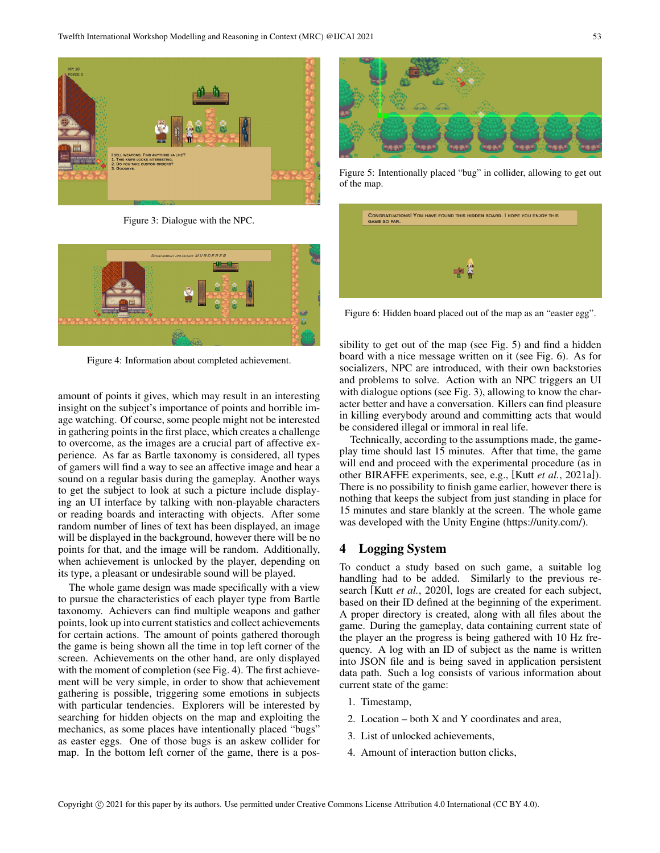

Figure 3: Dialogue with the NPC.



Figure 4: Information about completed achievement.

amount of points it gives, which may result in an interesting insight on the subject's importance of points and horrible image watching. Of course, some people might not be interested in gathering points in the first place, which creates a challenge to overcome, as the images are a crucial part of affective experience. As far as Bartle taxonomy is considered, all types of gamers will find a way to see an affective image and hear a sound on a regular basis during the gameplay. Another ways to get the subject to look at such a picture include displaying an UI interface by talking with non-playable characters or reading boards and interacting with objects. After some random number of lines of text has been displayed, an image will be displayed in the background, however there will be no points for that, and the image will be random. Additionally, when achievement is unlocked by the player, depending on its type, a pleasant or undesirable sound will be played.

The whole game design was made specifically with a view to pursue the characteristics of each player type from Bartle taxonomy. Achievers can find multiple weapons and gather points, look up into current statistics and collect achievements for certain actions. The amount of points gathered thorough the game is being shown all the time in top left corner of the screen. Achievements on the other hand, are only displayed with the moment of completion (see Fig. 4). The first achievement will be very simple, in order to show that achievement gathering is possible, triggering some emotions in subjects with particular tendencies. Explorers will be interested by searching for hidden objects on the map and exploiting the mechanics, as some places have intentionally placed "bugs" as easter eggs. One of those bugs is an askew collider for map. In the bottom left corner of the game, there is a pos-



Figure 5: Intentionally placed "bug" in collider, allowing to get out of the map.

| <b>GAME SO FAR.</b> | CONGRATUATIONS! YOU HAVE FOUND THIS HIDDEN BOARD. I HOPE YOU ENJOY THIS |  |  |
|---------------------|-------------------------------------------------------------------------|--|--|
|                     |                                                                         |  |  |
|                     |                                                                         |  |  |
|                     | 壁                                                                       |  |  |

Figure 6: Hidden board placed out of the map as an "easter egg".

sibility to get out of the map (see Fig. 5) and find a hidden board with a nice message written on it (see Fig. 6). As for socializers, NPC are introduced, with their own backstories and problems to solve. Action with an NPC triggers an UI with dialogue options (see Fig. 3), allowing to know the character better and have a conversation. Killers can find pleasure in killing everybody around and committing acts that would be considered illegal or immoral in real life.

Technically, according to the assumptions made, the gameplay time should last 15 minutes. After that time, the game will end and proceed with the experimental procedure (as in other BIRAFFE experiments, see, e.g., [Kutt *et al.*, 2021a]). There is no possibility to finish game earlier, however there is nothing that keeps the subject from just standing in place for 15 minutes and stare blankly at the screen. The whole game was developed with the Unity Engine (https://unity.com/).

### 4 Logging System

To conduct a study based on such game, a suitable log handling had to be added. Similarly to the previous research [Kutt *et al.*, 2020], logs are created for each subject, based on their ID defined at the beginning of the experiment. A proper directory is created, along with all files about the game. During the gameplay, data containing current state of the player an the progress is being gathered with 10 Hz frequency. A log with an ID of subject as the name is written into JSON file and is being saved in application persistent data path. Such a log consists of various information about current state of the game:

- 1. Timestamp,
- 2. Location both X and Y coordinates and area,
- 3. List of unlocked achievements,
- 4. Amount of interaction button clicks,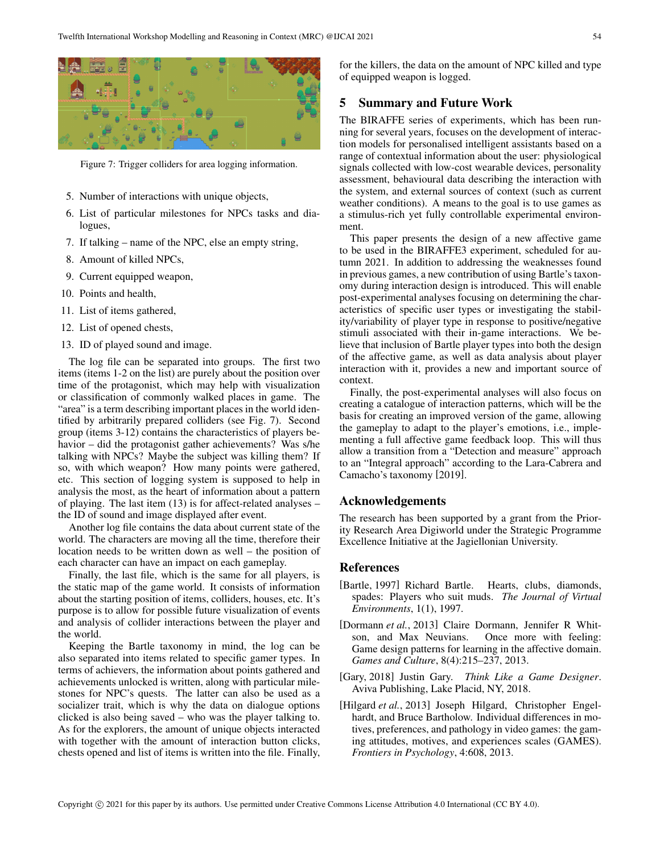

Figure 7: Trigger colliders for area logging information.

- 5. Number of interactions with unique objects,
- 6. List of particular milestones for NPCs tasks and dialogues,
- 7. If talking name of the NPC, else an empty string,
- 8. Amount of killed NPCs,
- 9. Current equipped weapon,
- 10. Points and health,
- 11. List of items gathered,
- 12. List of opened chests,
- 13. ID of played sound and image.

The log file can be separated into groups. The first two items (items 1-2 on the list) are purely about the position over time of the protagonist, which may help with visualization or classification of commonly walked places in game. The "area" is a term describing important places in the world identified by arbitrarily prepared colliders (see Fig. 7). Second group (items 3-12) contains the characteristics of players behavior – did the protagonist gather achievements? Was s/he talking with NPCs? Maybe the subject was killing them? If so, with which weapon? How many points were gathered, etc. This section of logging system is supposed to help in analysis the most, as the heart of information about a pattern of playing. The last item (13) is for affect-related analyses – the ID of sound and image displayed after event.

Another log file contains the data about current state of the world. The characters are moving all the time, therefore their location needs to be written down as well – the position of each character can have an impact on each gameplay.

Finally, the last file, which is the same for all players, is the static map of the game world. It consists of information about the starting position of items, colliders, houses, etc. It's purpose is to allow for possible future visualization of events and analysis of collider interactions between the player and the world.

Keeping the Bartle taxonomy in mind, the log can be also separated into items related to specific gamer types. In terms of achievers, the information about points gathered and achievements unlocked is written, along with particular milestones for NPC's quests. The latter can also be used as a socializer trait, which is why the data on dialogue options clicked is also being saved – who was the player talking to. As for the explorers, the amount of unique objects interacted with together with the amount of interaction button clicks, chests opened and list of items is written into the file. Finally,

for the killers, the data on the amount of NPC killed and type of equipped weapon is logged.

## 5 Summary and Future Work

The BIRAFFE series of experiments, which has been running for several years, focuses on the development of interaction models for personalised intelligent assistants based on a range of contextual information about the user: physiological signals collected with low-cost wearable devices, personality assessment, behavioural data describing the interaction with the system, and external sources of context (such as current weather conditions). A means to the goal is to use games as a stimulus-rich yet fully controllable experimental environment.

This paper presents the design of a new affective game to be used in the BIRAFFE3 experiment, scheduled for autumn 2021. In addition to addressing the weaknesses found in previous games, a new contribution of using Bartle's taxonomy during interaction design is introduced. This will enable post-experimental analyses focusing on determining the characteristics of specific user types or investigating the stability/variability of player type in response to positive/negative stimuli associated with their in-game interactions. We believe that inclusion of Bartle player types into both the design of the affective game, as well as data analysis about player interaction with it, provides a new and important source of context.

Finally, the post-experimental analyses will also focus on creating a catalogue of interaction patterns, which will be the basis for creating an improved version of the game, allowing the gameplay to adapt to the player's emotions, i.e., implementing a full affective game feedback loop. This will thus allow a transition from a "Detection and measure" approach to an "Integral approach" according to the Lara-Cabrera and Camacho's taxonomy [2019].

## Acknowledgements

The research has been supported by a grant from the Priority Research Area Digiworld under the Strategic Programme Excellence Initiative at the Jagiellonian University.

### References

- [Bartle, 1997] Richard Bartle. Hearts, clubs, diamonds, spades: Players who suit muds. *The Journal of Virtual Environments*, 1(1), 1997.
- [Dormann *et al.*, 2013] Claire Dormann, Jennifer R Whitson, and Max Neuvians. Once more with feeling: Game design patterns for learning in the affective domain. *Games and Culture*, 8(4):215–237, 2013.
- [Gary, 2018] Justin Gary. *Think Like a Game Designer*. Aviva Publishing, Lake Placid, NY, 2018.
- [Hilgard et al., 2013] Joseph Hilgard, Christopher Engelhardt, and Bruce Bartholow. Individual differences in motives, preferences, and pathology in video games: the gaming attitudes, motives, and experiences scales (GAMES). *Frontiers in Psychology*, 4:608, 2013.